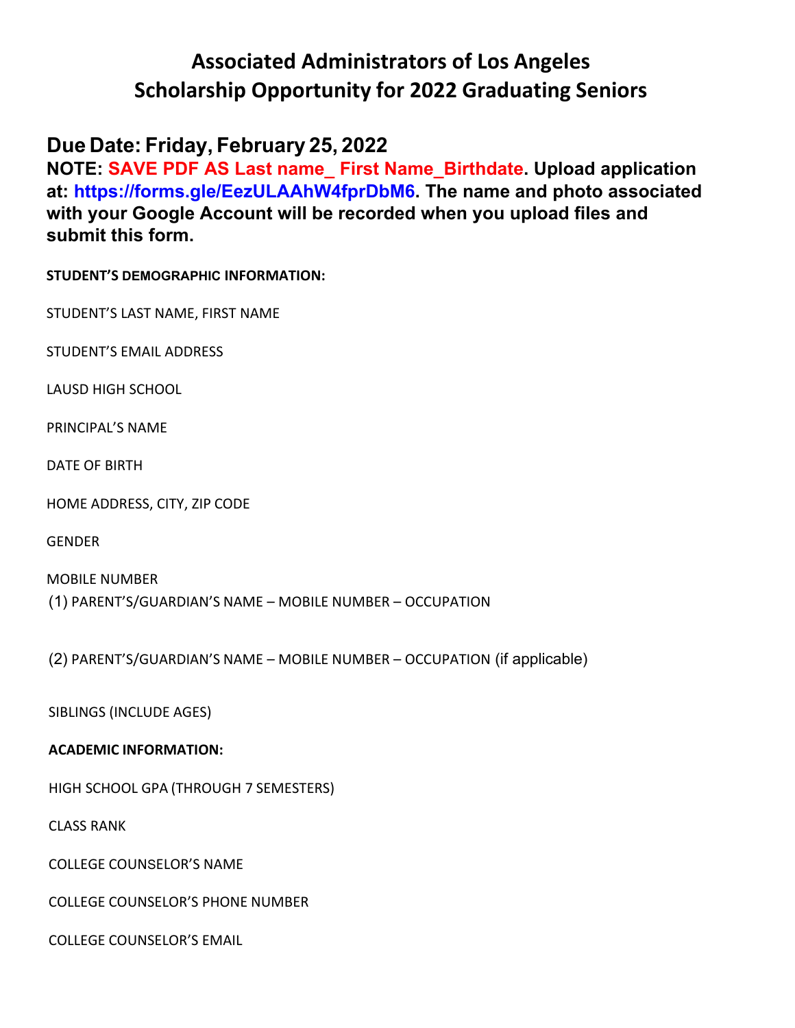# **Associated Administrators of Los Angeles Scholarship Opportunity for 2022 Graduating Seniors**

## **Due Date: Friday, February 25, 2022**

**NOTE: SAVE PDF AS Last name\_ First Name\_Birthdate. Upload application at: https://forms.gle/EezULAAhW4fprDbM6. The name and photo associated with your Google Account will be recorded when you upload files and submit this form.** 

**STUDENT'S DEMOGRAPHIC INFORMATION:**

STUDENT'S LAST NAME, FIRST NAME

STUDENT'S EMAIL ADDRESS

LAUSD HIGH SCHOOL

PRINCIPAL'S NAME

DATE OF BIRTH

HOME ADDRESS, CITY, ZIP CODE

GENDER

MOBILE NUMBER (1) PARENT'S/GUARDIAN'S NAME – MOBILE NUMBER – OCCUPATION

(2) PARENT'S/GUARDIAN'S NAME – MOBILE NUMBER – OCCUPATION (if applicable)

SIBLINGS (INCLUDE AGES)

### **ACADEMIC INFORMATION:**

HIGH SCHOOL GPA (THROUGH 7 SEMESTERS)

CLASS RANK

COLLEGE COUNSELOR'S NAME

COLLEGE COUNSELOR'S PHONE NUMBER

COLLEGE COUNSELOR'S EMAIL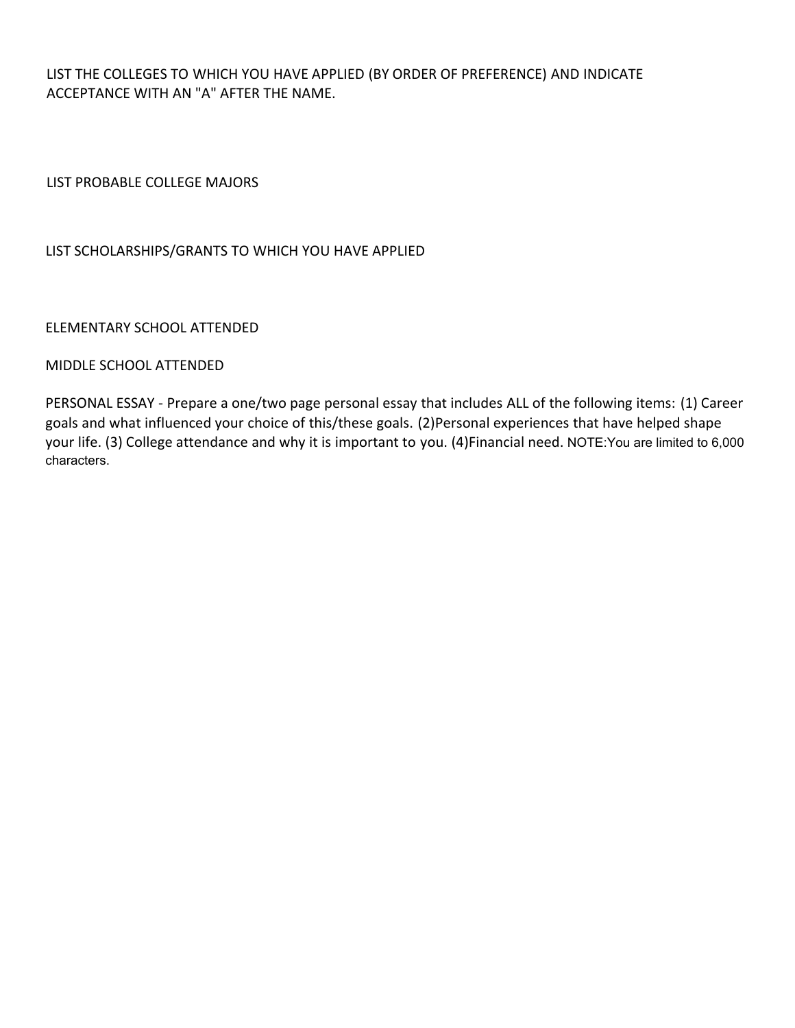LIST THE COLLEGES TO WHICH YOU HAVE APPLIED (BY ORDER OF PREFERENCE) AND INDICATE ACCEPTANCE WITH AN "A" AFTER THE NAME.

LIST PROBABLE COLLEGE MAJORS

#### LIST SCHOLARSHIPS/GRANTS TO WHICH YOU HAVE APPLIED

#### ELEMENTARY SCHOOL ATTENDED

#### MIDDLE SCHOOL ATTENDED

PERSONAL ESSAY - Prepare a one/two page personal essay that includes ALL of the following items: (1) Career goals and what influenced your choice of this/these goals. (2)Personal experiences that have helped shape your life. (3) College attendance and why it is important to you. (4)Financial need. NOTE:You are limited to 6,000 characters.